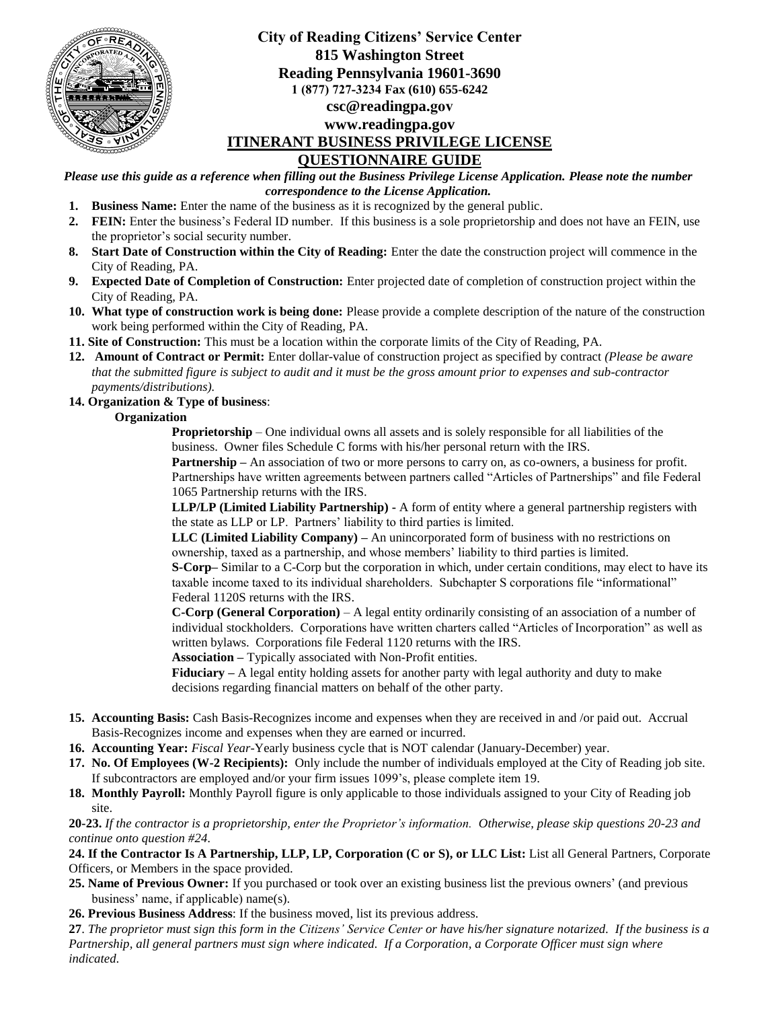

# **City of Reading Citizens' Service Center 815 Washington Street Reading Pennsylvania 19601-3690 1 (877) 727-3234 Fax (610) 655-6242 csc@readingpa.gov www.readingpa.gov ITINERANT BUSINESS PRIVILEGE LICENSE QUESTIONNAIRE GUIDE**

*Please use this guide as a reference when filling out the Business Privilege License Application. Please note the number correspondence to the License Application.*

- **1. Business Name:** Enter the name of the business as it is recognized by the general public.
- **2. FEIN:** Enter the business's Federal ID number. If this business is a sole proprietorship and does not have an FEIN, use the proprietor's social security number.
- **8. Start Date of Construction within the City of Reading:** Enter the date the construction project will commence in the City of Reading, PA.
- **9. Expected Date of Completion of Construction:** Enter projected date of completion of construction project within the City of Reading, PA.
- **10. What type of construction work is being done:** Please provide a complete description of the nature of the construction work being performed within the City of Reading, PA.
- **11. Site of Construction:** This must be a location within the corporate limits of the City of Reading, PA.
- **12. Amount of Contract or Permit:** Enter dollar-value of construction project as specified by contract *(Please be aware that the submitted figure is subject to audit and it must be the gross amount prior to expenses and sub-contractor payments/distributions).*

#### **14. Organization & Type of business**:

#### **Organization**

**Proprietorship** – One individual owns all assets and is solely responsible for all liabilities of the business. Owner files Schedule C forms with his/her personal return with the IRS.

**Partnership** – An association of two or more persons to carry on, as co-owners, a business for profit. Partnerships have written agreements between partners called "Articles of Partnerships" and file Federal 1065 Partnership returns with the IRS.

**LLP/LP (Limited Liability Partnership) -** A form of entity where a general partnership registers with the state as LLP or LP. Partners' liability to third parties is limited.

**LLC (Limited Liability Company) –** An unincorporated form of business with no restrictions on ownership, taxed as a partnership, and whose members' liability to third parties is limited.

**S-Corp–** Similar to a C-Corp but the corporation in which, under certain conditions, may elect to have its taxable income taxed to its individual shareholders. Subchapter S corporations file "informational" Federal 1120S returns with the IRS.

**C-Corp (General Corporation)** – A legal entity ordinarily consisting of an association of a number of individual stockholders. Corporations have written charters called "Articles of Incorporation" as well as written bylaws. Corporations file Federal 1120 returns with the IRS.

**Association –** Typically associated with Non-Profit entities.

**Fiduciary –** A legal entity holding assets for another party with legal authority and duty to make decisions regarding financial matters on behalf of the other party.

- **15. Accounting Basis:** Cash Basis-Recognizes income and expenses when they are received in and /or paid out. Accrual Basis-Recognizes income and expenses when they are earned or incurred.
- **16. Accounting Year:** *Fiscal Year*-Yearly business cycle that is NOT calendar (January-December) year.
- **17. No. Of Employees (W-2 Recipients):** Only include the number of individuals employed at the City of Reading job site. If subcontractors are employed and/or your firm issues 1099's, please complete item 19.
- **18. Monthly Payroll:** Monthly Payroll figure is only applicable to those individuals assigned to your City of Reading job site.

**20-23.** *If the contractor is a proprietorship, enter the Proprietor's information. Otherwise, please skip questions 20-23 and continue onto question #24.*

**24. If the Contractor Is A Partnership, LLP, LP, Corporation (C or S), or LLC List:** List all General Partners, Corporate Officers, or Members in the space provided.

- **25. Name of Previous Owner:** If you purchased or took over an existing business list the previous owners' (and previous business' name, if applicable) name(s).
- **26. Previous Business Address**: If the business moved, list its previous address.

**27**. *The proprietor must sign this form in the Citizens' Service Center or have his/her signature notarized. If the business is a Partnership, all general partners must sign where indicated. If a Corporation, a Corporate Officer must sign where indicated.*